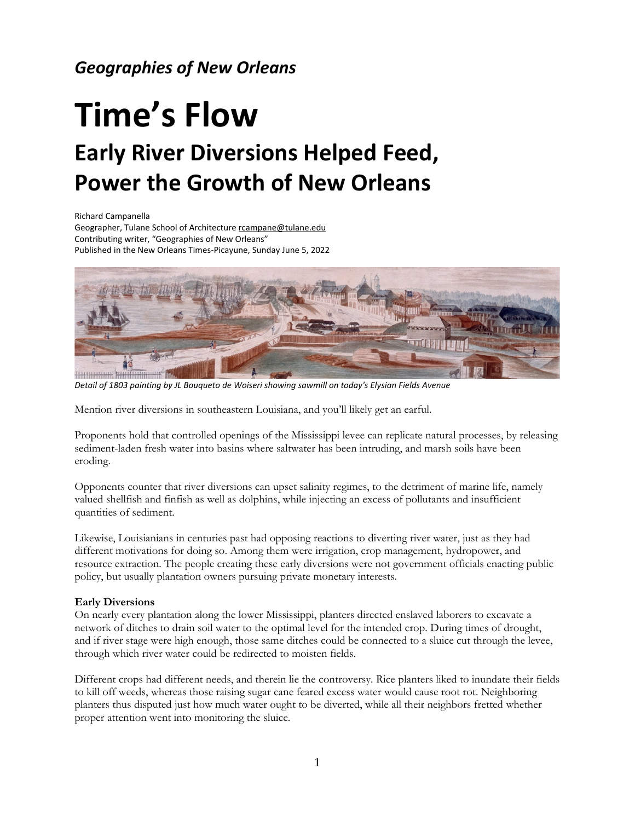## *Geographies of New Orleans*

# **Time's Flow Early River Diversions Helped Feed, Power the Growth of New Orleans**

Richard Campanella

Geographer, Tulane School of Architecture [rcampane@tulane.edu](mailto:rcampane@tulane.edu) Contributing writer, "Geographies of New Orleans" Published in the New Orleans Times-Picayune, Sunday June 5, 2022



*Detail of 1803 painting by JL Bouqueto de Woiseri showing sawmill on today's Elysian Fields Avenue*

Mention river diversions in southeastern Louisiana, and you'll likely get an earful.

Proponents hold that controlled openings of the Mississippi levee can replicate natural processes, by releasing sediment-laden fresh water into basins where saltwater has been intruding, and marsh soils have been eroding.

Opponents counter that river diversions can upset salinity regimes, to the detriment of marine life, namely valued shellfish and finfish as well as dolphins, while injecting an excess of pollutants and insufficient quantities of sediment.

Likewise, Louisianians in centuries past had opposing reactions to diverting river water, just as they had different motivations for doing so. Among them were irrigation, crop management, hydropower, and resource extraction. The people creating these early diversions were not government officials enacting public policy, but usually plantation owners pursuing private monetary interests.

#### **Early Diversions**

On nearly every plantation along the lower Mississippi, planters directed enslaved laborers to excavate a network of ditches to drain soil water to the optimal level for the intended crop. During times of drought, and if river stage were high enough, those same ditches could be connected to a sluice cut through the levee, through which river water could be redirected to moisten fields.

Different crops had different needs, and therein lie the controversy. Rice planters liked to inundate their fields to kill off weeds, whereas those raising sugar cane feared excess water would cause root rot. Neighboring planters thus disputed just how much water ought to be diverted, while all their neighbors fretted whether proper attention went into monitoring the sluice.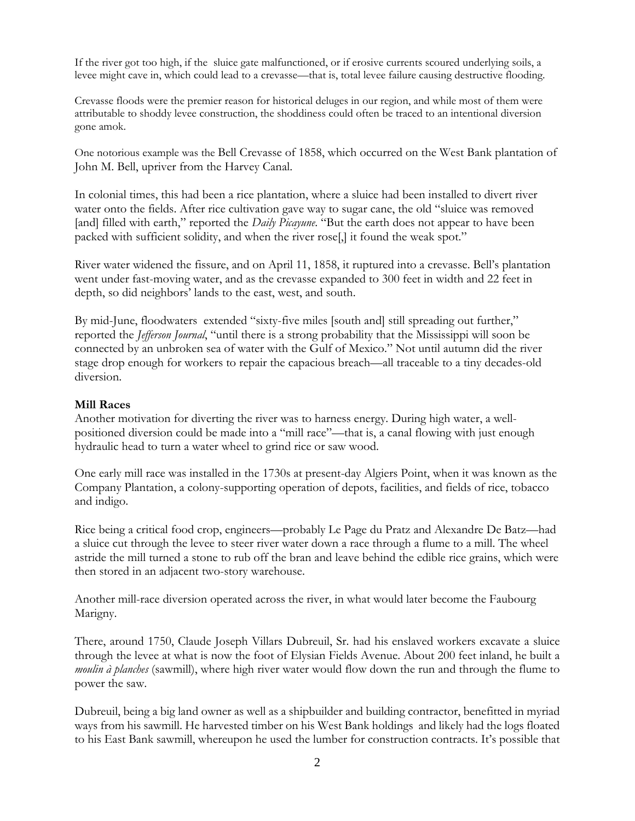If the river got too high, if the sluice gate malfunctioned, or if erosive currents scoured underlying soils, a levee might cave in, which could lead to a crevasse—that is, total levee failure causing destructive flooding.

Crevasse floods were the premier reason for historical deluges in our region, and while most of them were attributable to shoddy levee construction, the shoddiness could often be traced to an intentional diversion gone amok.

One notorious example was the Bell Crevasse of 1858, which occurred on the West Bank plantation of John M. Bell, upriver from the Harvey Canal.

In colonial times, this had been a rice plantation, where a sluice had been installed to divert river water onto the fields. After rice cultivation gave way to sugar cane, the old "sluice was removed [and] filled with earth," reported the *Daily Picayune*. "But the earth does not appear to have been packed with sufficient solidity, and when the river rose[,] it found the weak spot."

River water widened the fissure, and on April 11, 1858, it ruptured into a crevasse. Bell's plantation went under fast-moving water, and as the crevasse expanded to 300 feet in width and 22 feet in depth, so did neighbors' lands to the east, west, and south.

By mid-June, floodwaters extended "sixty-five miles [south and] still spreading out further," reported the *Jefferson Journal*, "until there is a strong probability that the Mississippi will soon be connected by an unbroken sea of water with the Gulf of Mexico." Not until autumn did the river stage drop enough for workers to repair the capacious breach—all traceable to a tiny decades-old diversion.

#### **Mill Races**

Another motivation for diverting the river was to harness energy. During high water, a wellpositioned diversion could be made into a "mill race"—that is, a canal flowing with just enough hydraulic head to turn a water wheel to grind rice or saw wood.

One early mill race was installed in the 1730s at present-day Algiers Point, when it was known as the Company Plantation, a colony-supporting operation of depots, facilities, and fields of rice, tobacco and indigo.

Rice being a critical food crop, engineers—probably Le Page du Pratz and Alexandre De Batz—had a sluice cut through the levee to steer river water down a race through a flume to a mill. The wheel astride the mill turned a stone to rub off the bran and leave behind the edible rice grains, which were then stored in an adjacent two-story warehouse.

Another mill-race diversion operated across the river, in what would later become the Faubourg Marigny.

There, around 1750, Claude Joseph Villars Dubreuil, Sr. had his enslaved workers excavate a sluice through the levee at what is now the foot of Elysian Fields Avenue. About 200 feet inland, he built a *moulin à planches* (sawmill), where high river water would flow down the run and through the flume to power the saw.

Dubreuil, being a big land owner as well as a shipbuilder and building contractor, benefitted in myriad ways from his sawmill. He harvested timber on his West Bank holdings and likely had the logs floated to his East Bank sawmill, whereupon he used the lumber for construction contracts. It's possible that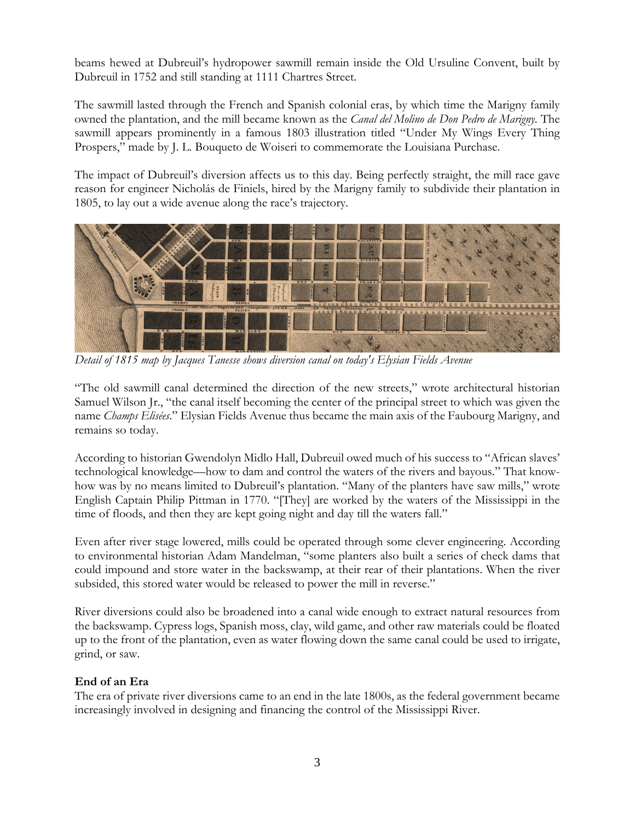beams hewed at Dubreuil's hydropower sawmill remain inside the Old Ursuline Convent, built by Dubreuil in 1752 and still standing at 1111 Chartres Street.

The sawmill lasted through the French and Spanish colonial eras, by which time the Marigny family owned the plantation, and the mill became known as the *Canal del Molino de Don Pedro de Marigny.* The sawmill appears prominently in a famous 1803 illustration titled "Under My Wings Every Thing Prospers," made by J. L. Bouqueto de Woiseri to commemorate the Louisiana Purchase.

The impact of Dubreuil's diversion affects us to this day. Being perfectly straight, the mill race gave reason for engineer Nicholás de Finiels, hired by the Marigny family to subdivide their plantation in 1805, to lay out a wide avenue along the race's trajectory.



*Detail of 1815 map by Jacques Tanesse shows diversion canal on today's Elysian Fields Avenue*

"The old sawmill canal determined the direction of the new streets," wrote architectural historian Samuel Wilson Jr., "the canal itself becoming the center of the principal street to which was given the name *Champs Elisées*." Elysian Fields Avenue thus became the main axis of the Faubourg Marigny, and remains so today.

According to historian Gwendolyn Midlo Hall, Dubreuil owed much of his success to "African slaves' technological knowledge—how to dam and control the waters of the rivers and bayous." That knowhow was by no means limited to Dubreuil's plantation. "Many of the planters have saw mills," wrote English Captain Philip Pittman in 1770. "[They] are worked by the waters of the Mississippi in the time of floods, and then they are kept going night and day till the waters fall."

Even after river stage lowered, mills could be operated through some clever engineering. According to environmental historian Adam Mandelman, "some planters also built a series of check dams that could impound and store water in the backswamp, at their rear of their plantations. When the river subsided, this stored water would be released to power the mill in reverse."

River diversions could also be broadened into a canal wide enough to extract natural resources from the backswamp. Cypress logs, Spanish moss, clay, wild game, and other raw materials could be floated up to the front of the plantation, even as water flowing down the same canal could be used to irrigate, grind, or saw.

### **End of an Era**

The era of private river diversions came to an end in the late 1800s, as the federal government became increasingly involved in designing and financing the control of the Mississippi River.